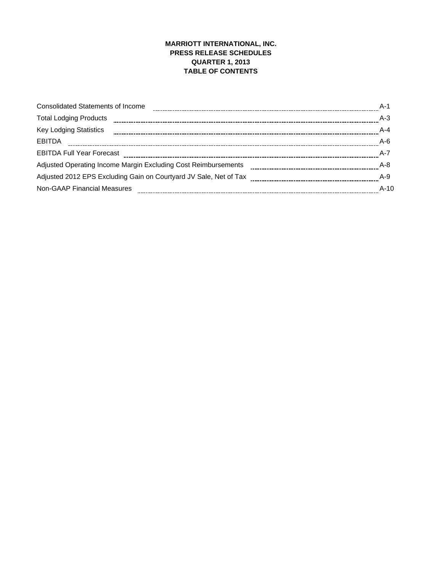## **MARRIOTT INTERNATIONAL, INC. PRESS RELEASE SCHEDULES QUARTER 1, 2013 TABLE OF CONTENTS**

| <b>Consolidated Statements of Income</b>                          | $A-1$   |
|-------------------------------------------------------------------|---------|
| <b>Total Lodging Products</b>                                     | $A-3$   |
| <b>Key Lodging Statistics</b>                                     | $A - 4$ |
| <b>EBITDA</b>                                                     | $A-6$   |
| <b>EBITDA Full Year Forecast</b>                                  | $A - 7$ |
| Adjusted Operating Income Margin Excluding Cost Reimbursements    | $A-8$   |
| Adjusted 2012 EPS Excluding Gain on Courtyard JV Sale, Net of Tax | $A-9$   |
| <b>Non-GAAP Financial Measures</b>                                | $A-10$  |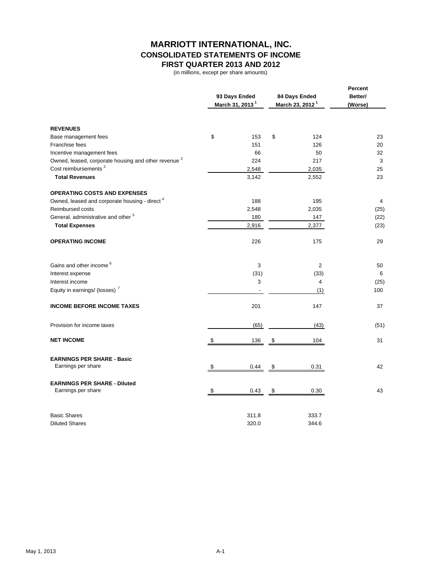## **MARRIOTT INTERNATIONAL, INC. CONSOLIDATED STATEMENTS OF INCOME FIRST QUARTER 2013 AND 2012**

(in millions, except per share amounts)

|                                                                 |    | 93 Days Ended<br>March 31, 2013 <sup>1</sup> |    | 84 Days Ended<br>March 23, 2012 <sup>1</sup> | <b>Percent</b><br>Better/<br>(Worse) |
|-----------------------------------------------------------------|----|----------------------------------------------|----|----------------------------------------------|--------------------------------------|
| <b>REVENUES</b>                                                 |    |                                              |    |                                              |                                      |
| Base management fees                                            | \$ | 153                                          | \$ | 124                                          | 23                                   |
| Franchise fees                                                  |    | 151                                          |    | 126                                          | 20                                   |
| Incentive management fees                                       |    | 66                                           |    | 50                                           | 32                                   |
| Owned, leased, corporate housing and other revenue <sup>2</sup> |    | 224                                          |    | 217                                          | 3                                    |
| Cost reimbursements <sup>3</sup>                                |    | 2,548                                        |    | 2,035                                        | 25                                   |
| <b>Total Revenues</b>                                           |    | 3,142                                        |    | 2,552                                        | 23                                   |
| <b>OPERATING COSTS AND EXPENSES</b>                             |    |                                              |    |                                              |                                      |
| Owned, leased and corporate housing - direct <sup>4</sup>       |    | 188                                          |    | 195                                          | 4                                    |
| Reimbursed costs                                                |    | 2,548                                        |    | 2,035                                        | (25)                                 |
| General, administrative and other <sup>5</sup>                  |    | 180                                          |    | 147                                          | (22)                                 |
| <b>Total Expenses</b>                                           |    | 2,916                                        |    | 2,377                                        | (23)                                 |
| <b>OPERATING INCOME</b>                                         |    | 226                                          |    | 175                                          | 29                                   |
| Gains and other income <sup>6</sup>                             |    | 3                                            |    | $\overline{2}$                               | 50                                   |
| Interest expense                                                |    | (31)                                         |    | (33)                                         | 6                                    |
| Interest income                                                 |    | 3                                            |    | 4                                            | (25)                                 |
| Equity in earnings/ (losses) <sup>7</sup>                       |    |                                              |    | (1)                                          | 100                                  |
| <b>INCOME BEFORE INCOME TAXES</b>                               |    | 201                                          |    | 147                                          | 37                                   |
| Provision for income taxes                                      |    | (65)                                         |    | (43)                                         | (51)                                 |
| <b>NET INCOME</b>                                               | \$ | 136                                          | \$ | 104                                          | 31                                   |
| <b>EARNINGS PER SHARE - Basic</b><br>Earnings per share         | \$ | 0.44                                         | \$ | 0.31                                         | 42                                   |
|                                                                 |    |                                              |    |                                              |                                      |
| <b>EARNINGS PER SHARE - Diluted</b><br>Earnings per share       | \$ | 0.43                                         | \$ | 0.30                                         | 43                                   |
| <b>Basic Shares</b>                                             |    | 311.8                                        |    | 333.7                                        |                                      |
| <b>Diluted Shares</b>                                           |    | 320.0                                        |    | 344.6                                        |                                      |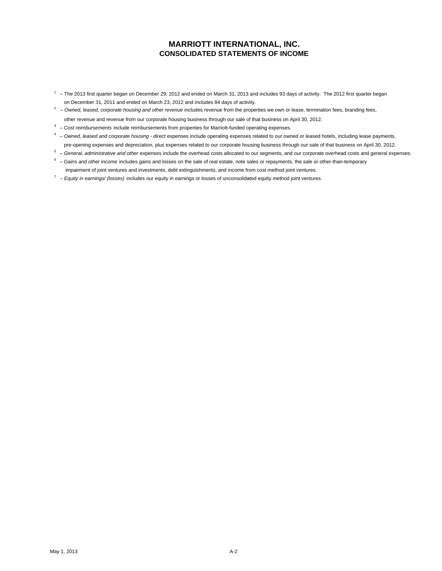## **MARRIOTT INTERNATIONAL, INC. CONSOLIDATED STATEMENTS OF INCOME**

- $1 -$  The 2013 first quarter began on December 29, 2012 and ended on March 31, 2013 and includes 93 days of activity. The 2012 first quarter began on December 31, 2011 and ended on March 23, 2012 and includes 84 days of activity.
- <sup>2</sup> Owned, leased, corporate housing and other revenue includes revenue from the properties we own or lease, termination fees, branding fees, other revenue and revenue from our corporate housing business through our sale of that business on April 30, 2012.
- <sup>3</sup> Cost reimbursements include reimbursements from properties for Marriott-funded operating expenses.
- 4 *Owned, leased and corporate housing direct* expenses include operating expenses related to our owned or leased hotels, including lease payments, pre-opening expenses and depreciation, plus expenses related to our corporate housing business through our sale of that business on April 30, 2012.
- 5 *General, administrative and other* expenses include the overhead costs allocated to our segments, and our corporate overhead costs and general expenses.
- 6 *Gains and other income* includes gains and losses on the sale of real estate, note sales or repayments, the sale or other-than-temporary impairment of joint ventures and investments, debt extinguishments, and income from cost method joint ventures.
- 7 *Equity in earnings/ (losses)* includes our equity in earnings or losses of unconsolidated equity method joint ventures.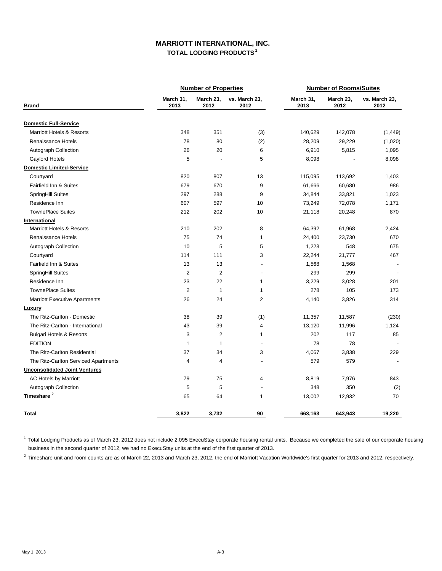## **MARRIOTT INTERNATIONAL, INC. TOTAL LODGING PRODUCTS 1**

|                                      |                   | <b>Number of Properties</b> |                          |                   | <b>Number of Rooms/Suites</b> |                          |
|--------------------------------------|-------------------|-----------------------------|--------------------------|-------------------|-------------------------------|--------------------------|
| <b>Brand</b>                         | March 31,<br>2013 | March 23,<br>2012           | vs. March 23,<br>2012    | March 31,<br>2013 | March 23,<br>2012             | vs. March 23,<br>2012    |
| <b>Domestic Full-Service</b>         |                   |                             |                          |                   |                               |                          |
| <b>Marriott Hotels &amp; Resorts</b> | 348               | 351                         | (3)                      | 140,629           | 142,078                       | (1, 449)                 |
| Renaissance Hotels                   | 78                | 80                          | (2)                      | 28,209            | 29,229                        | (1,020)                  |
| Autograph Collection                 | 26                | 20                          | 6                        | 6,910             | 5,815                         | 1,095                    |
| Gaylord Hotels                       | 5                 | L,                          | 5                        | 8,098             |                               | 8,098                    |
| <b>Domestic Limited-Service</b>      |                   |                             |                          |                   |                               |                          |
| Courtyard                            | 820               | 807                         | 13                       | 115,095           | 113,692                       | 1,403                    |
| Fairfield Inn & Suites               | 679               | 670                         | 9                        | 61,666            | 60,680                        | 986                      |
| <b>SpringHill Suites</b>             | 297               | 288                         | 9                        | 34,844            | 33,821                        | 1,023                    |
| Residence Inn                        | 607               | 597                         | 10                       | 73,249            | 72,078                        | 1,171                    |
| <b>TownePlace Suites</b>             | 212               | 202                         | 10                       | 21,118            | 20,248                        | 870                      |
| International                        |                   |                             |                          |                   |                               |                          |
| Marriott Hotels & Resorts            | 210               | 202                         | 8                        | 64,392            | 61,968                        | 2,424                    |
| Renaissance Hotels                   | 75                | 74                          | 1                        | 24,400            | 23,730                        | 670                      |
| Autograph Collection                 | 10                | 5                           | 5                        | 1,223             | 548                           | 675                      |
| Courtyard                            | 114               | 111                         | 3                        | 22,244            | 21,777                        | 467                      |
| Fairfield Inn & Suites               | 13                | 13                          | $\overline{a}$           | 1,568             | 1,568                         |                          |
| <b>SpringHill Suites</b>             | 2                 | $\overline{2}$              | $\overline{a}$           | 299               | 299                           |                          |
| Residence Inn                        | 23                | 22                          | 1                        | 3,229             | 3,028                         | 201                      |
| <b>TownePlace Suites</b>             | $\overline{2}$    | $\mathbf{1}$                | $\mathbf{1}$             | 278               | 105                           | 173                      |
| <b>Marriott Executive Apartments</b> | 26                | 24                          | $\overline{2}$           | 4,140             | 3,826                         | 314                      |
| <b>Luxury</b>                        |                   |                             |                          |                   |                               |                          |
| The Ritz-Carlton - Domestic          | 38                | 39                          | (1)                      | 11,357            | 11,587                        | (230)                    |
| The Ritz-Carlton - International     | 43                | 39                          | $\overline{4}$           | 13,120            | 11,996                        | 1,124                    |
| <b>Bulgari Hotels &amp; Resorts</b>  | 3                 | $\overline{2}$              | 1                        | 202               | 117                           | 85                       |
| <b>EDITION</b>                       | 1                 | $\mathbf{1}$                | L,                       | 78                | 78                            |                          |
| The Ritz-Carlton Residential         | 37                | 34                          | 3                        | 4,067             | 3,838                         | 229                      |
| The Ritz-Carlton Serviced Apartments | 4                 | 4                           | $\overline{a}$           | 579               | 579                           | $\overline{\phantom{a}}$ |
| <b>Unconsolidated Joint Ventures</b> |                   |                             |                          |                   |                               |                          |
| <b>AC Hotels by Marriott</b>         | 79                | 75                          | 4                        | 8,819             | 7,976                         | 843                      |
| Autograph Collection                 | 5                 | 5                           | $\overline{\phantom{a}}$ | 348               | 350                           | (2)                      |
| Timeshare <sup>2</sup>               | 65                | 64                          | $\mathbf{1}$             | 13,002            | 12,932                        | 70                       |
| <b>Total</b>                         | 3,822             | 3,732                       | 90                       | 663,163           | 643,943                       | 19,220                   |

<sup>1</sup> Total Lodging Products as of March 23, 2012 does not include 2,095 ExecuStay corporate housing rental units. Because we completed the sale of our corporate housing business in the second quarter of 2012, we had no ExecuStay units at the end of the first quarter of 2013.

 $^2$  Timeshare unit and room counts are as of March 22, 2013 and March 23, 2012, the end of Marriott Vacation Worldwide's first quarter for 2013 and 2012, respectively.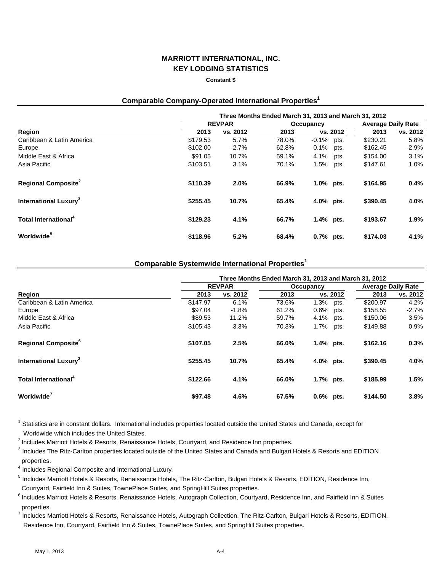## **MARRIOTT INTERNATIONAL, INC. KEY LODGING STATISTICS**

#### **Constant \$**

## **Comparable Company-Operated International Properties1**

|                                         | Three Months Ended March 31, 2013 and March 31, 2012 |                 |                |                          |              |                      |                           |  |
|-----------------------------------------|------------------------------------------------------|-----------------|----------------|--------------------------|--------------|----------------------|---------------------------|--|
|                                         |                                                      | <b>REVPAR</b>   |                | Occupancy                |              |                      | <b>Average Daily Rate</b> |  |
| Region                                  | 2013                                                 | vs. 2012        | 2013           | vs. 2012                 |              | 2013                 | vs. 2012                  |  |
| Caribbean & Latin America<br>Europe     | \$179.53<br>\$102.00                                 | 5.7%<br>$-2.7%$ | 78.0%<br>62.8% | $-0.1\%$ pts.<br>$0.1\%$ | pts.         | \$230.21<br>\$162.45 | 5.8%<br>$-2.9%$           |  |
| Middle East & Africa<br>Asia Pacific    | \$91.05<br>\$103.51                                  | 10.7%<br>3.1%   | 59.1%<br>70.1% | 4.1%<br>1.5%             | pts.<br>pts. | \$154.00<br>\$147.61 | 3.1%<br>1.0%              |  |
| <b>Regional Composite</b> <sup>2</sup>  | \$110.39                                             | 2.0%            | 66.9%          | 1.0% pts.                |              | \$164.95             | 0.4%                      |  |
| <b>International Luxury<sup>3</sup></b> | \$255.45                                             | 10.7%           | 65.4%          | 4.0% pts.                |              | \$390.45             | 4.0%                      |  |
| Total International <sup>4</sup>        | \$129.23                                             | 4.1%            | 66.7%          | $1.4\%$ pts.             |              | \$193.67             | 1.9%                      |  |
| Worldwide <sup>5</sup>                  | \$118.96                                             | 5.2%            | 68.4%          | $0.7%$ pts.              |              | \$174.03             | 4.1%                      |  |

## **Comparable Systemwide International Properties<sup>1</sup>**

|                                          | Three Months Ended March 31, 2013 and March 31, 2012 |               |       |                 |          |                           |  |  |
|------------------------------------------|------------------------------------------------------|---------------|-------|-----------------|----------|---------------------------|--|--|
|                                          |                                                      | <b>REVPAR</b> |       | Occupancy       |          | <b>Average Daily Rate</b> |  |  |
| Region                                   | 2013                                                 | vs. 2012      | 2013  | vs. 2012        | 2013     | vs. 2012                  |  |  |
| Caribbean & Latin America                | \$147.97                                             | 6.1%          | 73.6% | $1.3\%$<br>pts. | \$200.97 | 4.2%                      |  |  |
| Europe                                   | \$97.04                                              | $-1.8%$       | 61.2% | $0.6\%$<br>pts. | \$158.55 | $-2.7%$                   |  |  |
| Middle East & Africa                     | \$89.53                                              | 11.2%         | 59.7% | 4.1%<br>pts.    | \$150.06 | 3.5%                      |  |  |
| Asia Pacific                             | \$105.43                                             | 3.3%          | 70.3% | 1.7%<br>pts.    | \$149.88 | 0.9%                      |  |  |
| <b>Regional Composite</b> <sup>°</sup>   | \$107.05                                             | 2.5%          | 66.0% | 1.4% pts.       | \$162.16 | 0.3%                      |  |  |
| <b>International Luxury</b> <sup>3</sup> | \$255.45                                             | 10.7%         | 65.4% | 4.0% pts.       | \$390.45 | 4.0%                      |  |  |
| <b>Total International</b> <sup>4</sup>  | \$122.66                                             | 4.1%          | 66.0% | $1.7\%$ pts.    | \$185.99 | 1.5%                      |  |  |
| Worldwide <sup>7</sup>                   | \$97.48                                              | 4.6%          | 67.5% | $0.6\%$ pts.    | \$144.50 | 3.8%                      |  |  |

<sup>1</sup> Statistics are in constant dollars. International includes properties located outside the United States and Canada, except for

Worldwide which includes the United States.

<sup>2</sup> Includes Marriott Hotels & Resorts, Renaissance Hotels, Courtyard, and Residence Inn properties.

<sup>3</sup> Includes The Ritz-Carlton properties located outside of the United States and Canada and Bulgari Hotels & Resorts and EDITION properties.

<sup>4</sup> Includes Regional Composite and International Luxury.

<sup>5</sup> Includes Marriott Hotels & Resorts, Renaissance Hotels, The Ritz-Carlton, Bulgari Hotels & Resorts, EDITION, Residence Inn, Courtyard, Fairfield Inn & Suites, TownePlace Suites, and SpringHill Suites properties.

<sup>6</sup> Includes Marriott Hotels & Resorts, Renaissance Hotels, Autograph Collection, Courtyard, Residence Inn, and Fairfield Inn & Suites properties.

<sup>7</sup> Includes Marriott Hotels & Resorts, Renaissance Hotels, Autograph Collection, The Ritz-Carlton, Bulgari Hotels & Resorts, EDITION, Residence Inn, Courtyard, Fairfield Inn & Suites, TownePlace Suites, and SpringHill Suites properties.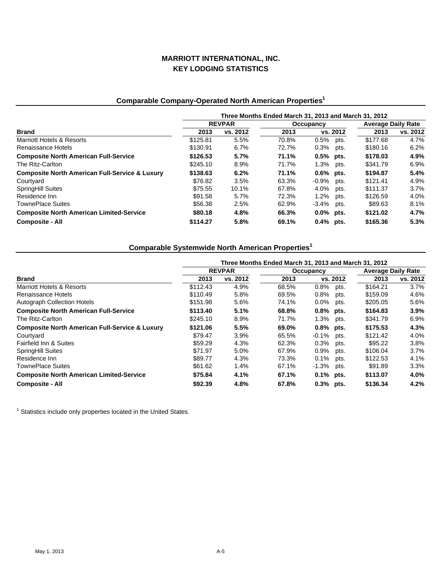## **MARRIOTT INTERNATIONAL, INC. KEY LODGING STATISTICS**

# **Comparable Company-Operated North American Properties1**

|                                                           | Three Months Ended March 31, 2013 and March 31, 2012 |          |           |              |          |                           |          |  |
|-----------------------------------------------------------|------------------------------------------------------|----------|-----------|--------------|----------|---------------------------|----------|--|
|                                                           | <b>REVPAR</b>                                        |          | Occupancy |              |          | <b>Average Daily Rate</b> |          |  |
| <b>Brand</b>                                              | 2013                                                 | vs. 2012 | 2013      |              | vs. 2012 | 2013                      | vs. 2012 |  |
| <b>Marriott Hotels &amp; Resorts</b>                      | \$125.81                                             | 5.5%     | 70.8%     | $0.5\%$      | pts.     | \$177.68                  | 4.7%     |  |
| Renaissance Hotels                                        | \$130.91                                             | 6.7%     | 72.7%     | $0.3\%$      | pts.     | \$180.16                  | 6.2%     |  |
| <b>Composite North American Full-Service</b>              | \$126.53                                             | 5.7%     | 71.1%     | $0.5%$ pts.  |          | \$178.03                  | 4.9%     |  |
| The Ritz-Carlton                                          | \$245.10                                             | 8.9%     | 71.7%     | 1.3%         | pts.     | \$341.79                  | 6.9%     |  |
| <b>Composite North American Full-Service &amp; Luxury</b> | \$138.63                                             | 6.2%     | 71.1%     | $0.6\%$ pts. |          | \$194.87                  | 5.4%     |  |
| Courtyard                                                 | \$76.82                                              | 3.5%     | 63.3%     | $-0.9%$      | pts.     | \$121.41                  | 4.9%     |  |
| <b>SpringHill Suites</b>                                  | \$75.55                                              | 10.1%    | 67.8%     | 4.0%         | pts.     | \$111.37                  | $3.7\%$  |  |
| Residence Inn                                             | \$91.58                                              | 5.7%     | 72.3%     | 1.2%         | pts.     | \$126.59                  | 4.0%     |  |
| <b>TownePlace Suites</b>                                  | \$56.38                                              | 2.5%     | 62.9%     | -3.4%        | pts.     | \$89.63                   | 8.1%     |  |
| <b>Composite North American Limited-Service</b>           | \$80.18                                              | 4.8%     | 66.3%     | $0.0\%$ pts. |          | \$121.02                  | 4.7%     |  |
| <b>Composite - All</b>                                    | \$114.27                                             | 5.8%     | 69.1%     | $0.4\%$ pts. |          | \$165.36                  | 5.3%     |  |

# **Comparable Systemwide North American Properties<sup>1</sup>**

|                                                           | Three Months Ended March 31, 2013 and March 31, 2012 |          |           |              |          |                           |          |  |
|-----------------------------------------------------------|------------------------------------------------------|----------|-----------|--------------|----------|---------------------------|----------|--|
|                                                           | <b>REVPAR</b>                                        |          | Occupancy |              |          | <b>Average Daily Rate</b> |          |  |
| <b>Brand</b>                                              | 2013                                                 | vs. 2012 | 2013      |              | vs. 2012 | 2013                      | vs. 2012 |  |
| Marriott Hotels & Resorts                                 | \$112.43                                             | 4.9%     | 68.5%     | $0.8\%$      | pts.     | \$164.21                  | 3.7%     |  |
| Renaissance Hotels                                        | \$110.49                                             | 5.8%     | 69.5%     | 0.8%         | pts.     | \$159.09                  | 4.6%     |  |
| <b>Autograph Collection Hotels</b>                        | \$151.98                                             | 5.6%     | 74.1%     | $0.0\%$      | pts.     | \$205.05                  | 5.6%     |  |
| <b>Composite North American Full-Service</b>              | \$113.40                                             | 5.1%     | 68.8%     | $0.8\%$ pts. |          | \$164.83                  | 3.9%     |  |
| The Ritz-Carlton                                          | \$245.10                                             | 8.9%     | 71.7%     | 1.3%         | pts.     | \$341.79                  | 6.9%     |  |
| <b>Composite North American Full-Service &amp; Luxury</b> | \$121.06                                             | 5.5%     | 69.0%     | $0.8\%$ pts. |          | \$175.53                  | 4.3%     |  |
| Courtyard                                                 | \$79.47                                              | 3.9%     | 65.5%     | $-0.1\%$     | pts.     | \$121.42                  | 4.0%     |  |
| Fairfield Inn & Suites                                    | \$59.29                                              | 4.3%     | 62.3%     | 0.3%         | pts.     | \$95.22                   | 3.8%     |  |
| <b>SpringHill Suites</b>                                  | \$71.97                                              | 5.0%     | 67.9%     | $0.9\%$      | pts.     | \$106.04                  | 3.7%     |  |
| Residence Inn                                             | \$89.77                                              | 4.3%     | 73.3%     | 0.1%         | pts.     | \$122.53                  | 4.1%     |  |
| TownePlace Suites                                         | \$61.62                                              | 1.4%     | 67.1%     | $-1.3%$      | pts.     | \$91.89                   | 3.3%     |  |
| <b>Composite North American Limited-Service</b>           | \$75.84                                              | 4.1%     | 67.1%     | $0.1\%$ pts. |          | \$113.07                  | 4.0%     |  |
| <b>Composite - All</b>                                    | \$92.39                                              | 4.8%     | 67.8%     | $0.3\%$ pts. |          | \$136.34                  | 4.2%     |  |

 $1$  Statistics include only properties located in the United States.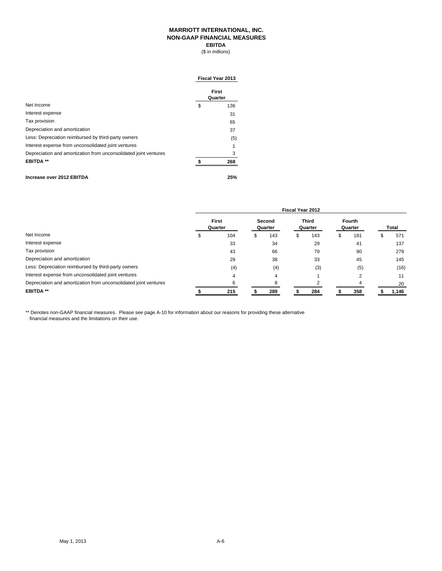### **MARRIOTT INTERNATIONAL, INC. NON-GAAP FINANCIAL MEASURES EBITDA**

(\$ in millions)

|                                                                  | Fiscal Year 2013 |                  |  |  |  |
|------------------------------------------------------------------|------------------|------------------|--|--|--|
|                                                                  |                  | First<br>Quarter |  |  |  |
| Net Income                                                       | \$               | 136              |  |  |  |
| Interest expense                                                 |                  | 31               |  |  |  |
| Tax provision                                                    |                  | 65               |  |  |  |
| Depreciation and amortization                                    |                  | 37               |  |  |  |
| Less: Depreciation reimbursed by third-party owners              |                  | (5)              |  |  |  |
| Interest expense from unconsolidated joint ventures              |                  |                  |  |  |  |
| Depreciation and amortization from unconsolidated joint ventures |                  | 3                |  |  |  |
| <b>EBITDA **</b>                                                 |                  | 268              |  |  |  |
| Increase over 2012 EBITDA                                        |                  | 25%              |  |  |  |

|                                                                  | <b>Fiscal Year 2012</b> |                         |   |                   |  |                         |    |                   |  |              |
|------------------------------------------------------------------|-------------------------|-------------------------|---|-------------------|--|-------------------------|----|-------------------|--|--------------|
|                                                                  |                         | <b>First</b><br>Quarter |   | Second<br>Quarter |  | <b>Third</b><br>Quarter |    | Fourth<br>Quarter |  | <b>Total</b> |
| Net Income                                                       |                         | 104                     | S | 143               |  | 143                     | S. | 181               |  | 571          |
| Interest expense                                                 |                         | 33                      |   | 34                |  | 29                      |    | 41                |  | 137          |
| Tax provision                                                    |                         | 43                      |   | 66                |  | 79                      |    | 90                |  | 278          |
| Depreciation and amortization                                    |                         | 29                      |   | 38                |  | 33                      |    | 45                |  | 145          |
| Less: Depreciation reimbursed by third-party owners              |                         | (4)                     |   | (4)               |  | (3)                     |    | (5)               |  | (16)         |
| Interest expense from unconsolidated joint ventures              |                         | 4                       |   | 4                 |  |                         |    | っ                 |  | 11           |
| Depreciation and amortization from unconsolidated joint ventures |                         | 6                       |   | 8                 |  |                         |    | 4                 |  | 20           |
| <b>EBITDA**</b>                                                  |                         | 215                     |   | 289               |  | 284                     |    | 358               |  | 1,146        |

\*\* Denotes non-GAAP financial measures. Please see page A-10 for information about our reasons for providing these alternative financial measures and the limitations on their use.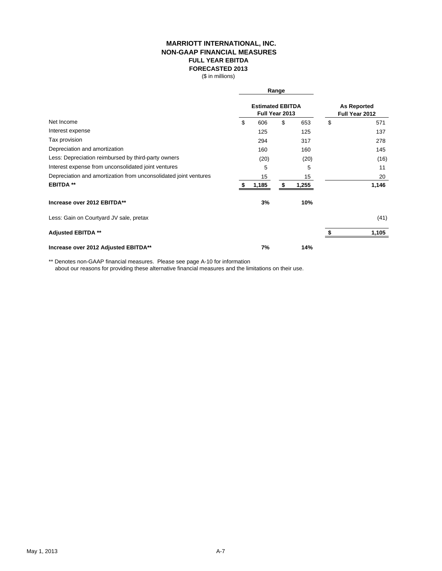### **MARRIOTT INTERNATIONAL, INC. NON-GAAP FINANCIAL MEASURES FULL YEAR EBITDA FORECASTED 2013**

(\$ in millions)

|                                                                  |    |                                           | Range |       |    |                                      |
|------------------------------------------------------------------|----|-------------------------------------------|-------|-------|----|--------------------------------------|
|                                                                  |    | <b>Estimated EBITDA</b><br>Full Year 2013 |       |       |    | <b>As Reported</b><br>Full Year 2012 |
| Net Income                                                       | \$ | 606                                       | \$    | 653   | \$ | 571                                  |
| Interest expense                                                 |    | 125                                       |       | 125   |    | 137                                  |
| Tax provision                                                    |    | 294                                       |       | 317   |    | 278                                  |
| Depreciation and amortization                                    |    | 160                                       |       | 160   |    | 145                                  |
| Less: Depreciation reimbursed by third-party owners              |    | (20)                                      |       | (20)  |    | (16)                                 |
| Interest expense from unconsolidated joint ventures              |    | 5                                         |       | 5     |    | 11                                   |
| Depreciation and amortization from unconsolidated joint ventures |    | 15                                        |       | 15    |    | 20                                   |
| <b>EBITDA **</b>                                                 |    | 1,185                                     | S     | 1,255 |    | 1,146                                |
| Increase over 2012 EBITDA**                                      |    | 3%                                        |       | 10%   |    |                                      |
| Less: Gain on Courtyard JV sale, pretax                          |    |                                           |       |       |    | (41)                                 |
| <b>Adjusted EBITDA **</b>                                        |    |                                           |       |       |    | 1,105                                |
| Increase over 2012 Adjusted EBITDA**                             |    | 7%                                        |       | 14%   |    |                                      |

\*\* Denotes non-GAAP financial measures. Please see page A-10 for information

about our reasons for providing these alternative financial measures and the limitations on their use.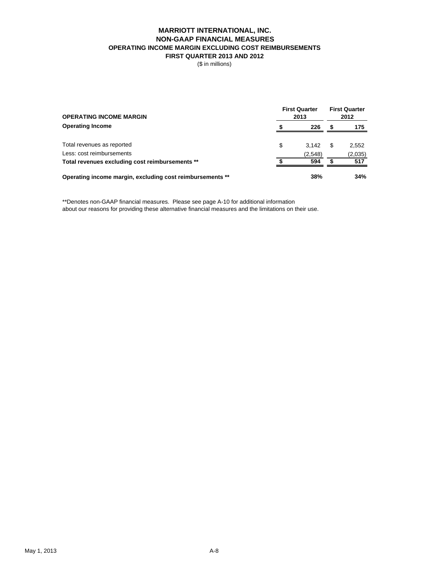### **MARRIOTT INTERNATIONAL, INC. NON-GAAP FINANCIAL MEASURES OPERATING INCOME MARGIN EXCLUDING COST REIMBURSEMENTS FIRST QUARTER 2013 AND 2012**

(\$ in millions)

| <b>OPERATING INCOME MARGIN</b>                            | <b>First Quarter</b><br>2013 |   |         |  |  |
|-----------------------------------------------------------|------------------------------|---|---------|--|--|
| <b>Operating Income</b>                                   | 226                          |   | 175     |  |  |
| Total revenues as reported                                | \$<br>3.142                  | S | 2,552   |  |  |
| Less: cost reimbursements                                 | (2,548)                      |   | (2,035) |  |  |
| Total revenues excluding cost reimbursements **           | 594                          |   | 517     |  |  |
| Operating income margin, excluding cost reimbursements ** | 38%                          |   | 34%     |  |  |

\*\*Denotes non-GAAP financial measures. Please see page A-10 for additional information about our reasons for providing these alternative financial measures and the limitations on their use.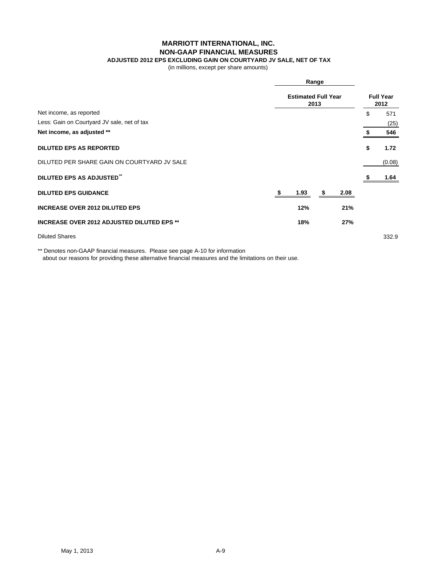### **MARRIOTT INTERNATIONAL, INC.**

### **NON-GAAP FINANCIAL MEASURES**

### **ADJUSTED 2012 EPS EXCLUDING GAIN ON COURTYARD JV SALE, NET OF TAX**

(in millions, except per share amounts)

|                                                   |  | Range<br><b>Estimated Full Year</b><br>2013 |  |      |    |        |  |
|---------------------------------------------------|--|---------------------------------------------|--|------|----|--------|--|
|                                                   |  |                                             |  |      |    |        |  |
| Net income, as reported                           |  |                                             |  |      | \$ | 571    |  |
| Less: Gain on Courtyard JV sale, net of tax       |  |                                             |  |      |    | (25)   |  |
| Net income, as adjusted **                        |  |                                             |  |      |    | 546    |  |
| <b>DILUTED EPS AS REPORTED</b>                    |  |                                             |  |      | \$ | 1.72   |  |
| DILUTED PER SHARE GAIN ON COURTYARD JV SALE       |  |                                             |  |      |    | (0.08) |  |
| <b>DILUTED EPS AS ADJUSTED"</b>                   |  |                                             |  |      |    | 1.64   |  |
| <b>DILUTED EPS GUIDANCE</b>                       |  | 1.93                                        |  | 2.08 |    |        |  |
| <b>INCREASE OVER 2012 DILUTED EPS</b>             |  | 12%                                         |  | 21%  |    |        |  |
| <b>INCREASE OVER 2012 ADJUSTED DILUTED EPS **</b> |  | 18%                                         |  | 27%  |    |        |  |
| <b>Diluted Shares</b>                             |  |                                             |  |      |    | 332.9  |  |

\*\* Denotes non-GAAP financial measures. Please see page A-10 for information

about our reasons for providing these alternative financial measures and the limitations on their use.